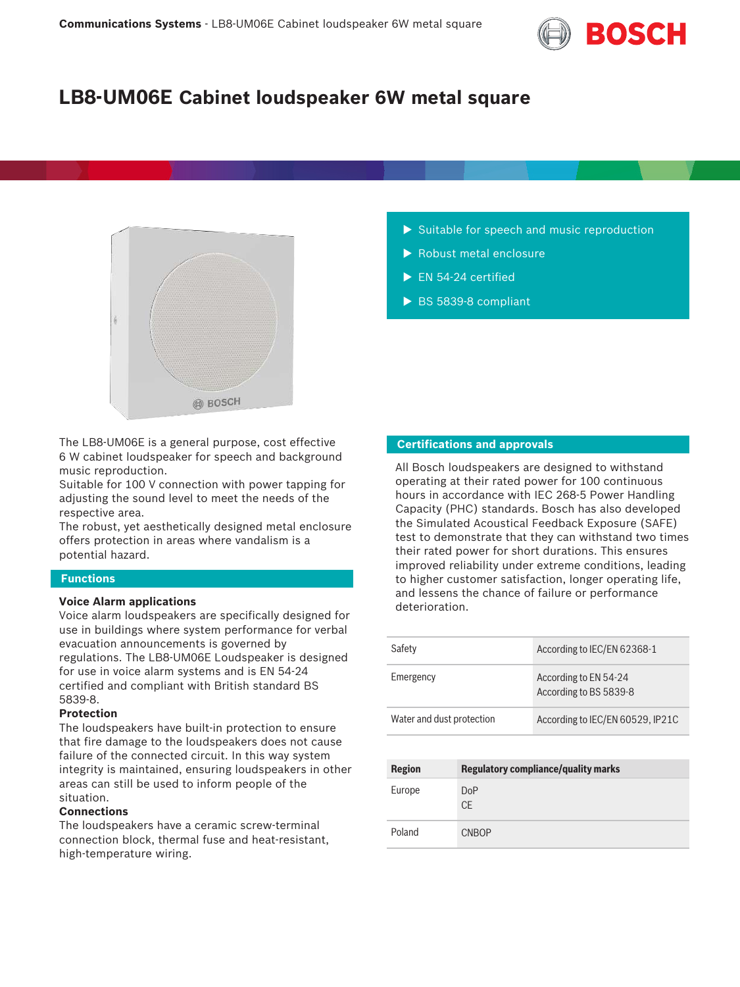

# **LB8-UM06E Cabinet loudspeaker 6W metal square**



The LB8-UM06E is a general purpose, cost effective 6 W cabinet loudspeaker for speech and background music reproduction.

Suitable for 100 V connection with power tapping for adjusting the sound level to meet the needs of the respective area.

The robust, yet aesthetically designed metal enclosure offers protection in areas where vandalism is a potential hazard.

#### **Functions**

#### **Voice Alarm applications**

Voice alarm loudspeakers are specifically designed for use in buildings where system performance for verbal evacuation announcements is governed by regulations. The LB8-UM06E Loudspeaker is designed for use in voice alarm systems and is EN 54‑24 certified and compliant with British standard BS 5839‑8.

#### **Protection**

The loudspeakers have built-in protection to ensure that fire damage to the loudspeakers does not cause failure of the connected circuit. In this way system integrity is maintained, ensuring loudspeakers in other areas can still be used to inform people of the situation.

#### **Connections**

The loudspeakers have a ceramic screw-terminal connection block, thermal fuse and heat-resistant, high-temperature wiring.

- $\blacktriangleright$  Suitable for speech and music reproduction
- $\blacktriangleright$  Robust metal enclosure
- $\blacktriangleright$  EN 54-24 certified
- $\triangleright$  BS 5839-8 compliant

#### **Certifications and approvals**

All Bosch loudspeakers are designed to withstand operating at their rated power for 100 continuous hours in accordance with IEC 268‑5 Power Handling Capacity (PHC) standards. Bosch has also developed the Simulated Acoustical Feedback Exposure (SAFE) test to demonstrate that they can withstand two times their rated power for short durations. This ensures improved reliability under extreme conditions, leading to higher customer satisfaction, longer operating life, and lessens the chance of failure or performance deterioration.

| Safety                    | According to IEC/EN 62368-1                     |
|---------------------------|-------------------------------------------------|
| Emergency                 | According to EN 54-24<br>According to BS 5839-8 |
| Water and dust protection | According to IEC/EN 60529, IP21C                |

| <b>Region</b> | <b>Regulatory compliance/quality marks</b> |
|---------------|--------------------------------------------|
| Europe        | <b>DoP</b><br><b>CE</b>                    |
| Poland        | <b>CNBOP</b>                               |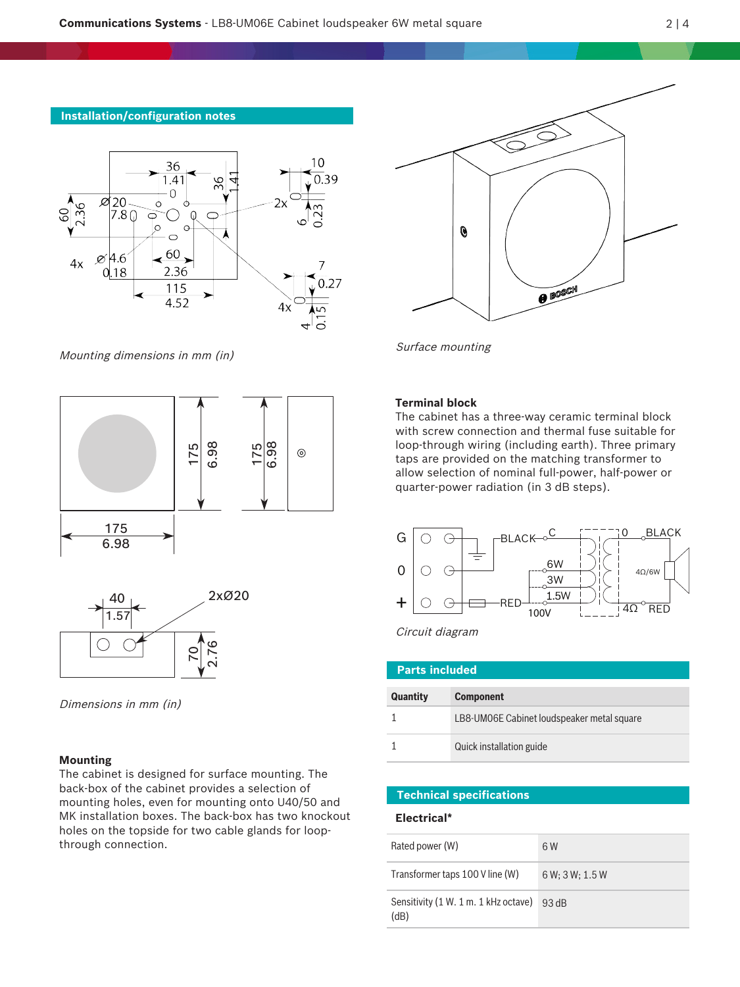### **Installation/configuration notes**



Mounting dimensions in mm (in)



Dimensions in mm (in)

#### **Mounting**

The cabinet is designed for surface mounting. The back‑box of the cabinet provides a selection of mounting holes, even for mounting onto U40/50 and MK installation boxes. The back-box has two knockout holes on the topside for two cable glands for loopthrough connection.



Surface mounting

### **Terminal block**

The cabinet has a three-way ceramic terminal block with screw connection and thermal fuse suitable for loop-through wiring (including earth). Three primary taps are provided on the matching transformer to allow selection of nominal full-power, half-power or quarter-power radiation (in 3 dB steps).



Circuit diagram

| <b>Parts included</b> |                                            |  |
|-----------------------|--------------------------------------------|--|
| <b>Quantity</b>       | <b>Component</b>                           |  |
|                       | LB8-UM06E Cabinet loudspeaker metal square |  |
|                       | Quick installation guide                   |  |

#### **Technical specifications**

#### **Electrical\***

| Rated power (W)                              | 6W              |
|----------------------------------------------|-----------------|
| Transformer taps 100 V line (W)              | 6 W: 3 W: 1.5 W |
| Sensitivity (1 W. 1 m. 1 kHz octave)<br>(dB) | 93 dB           |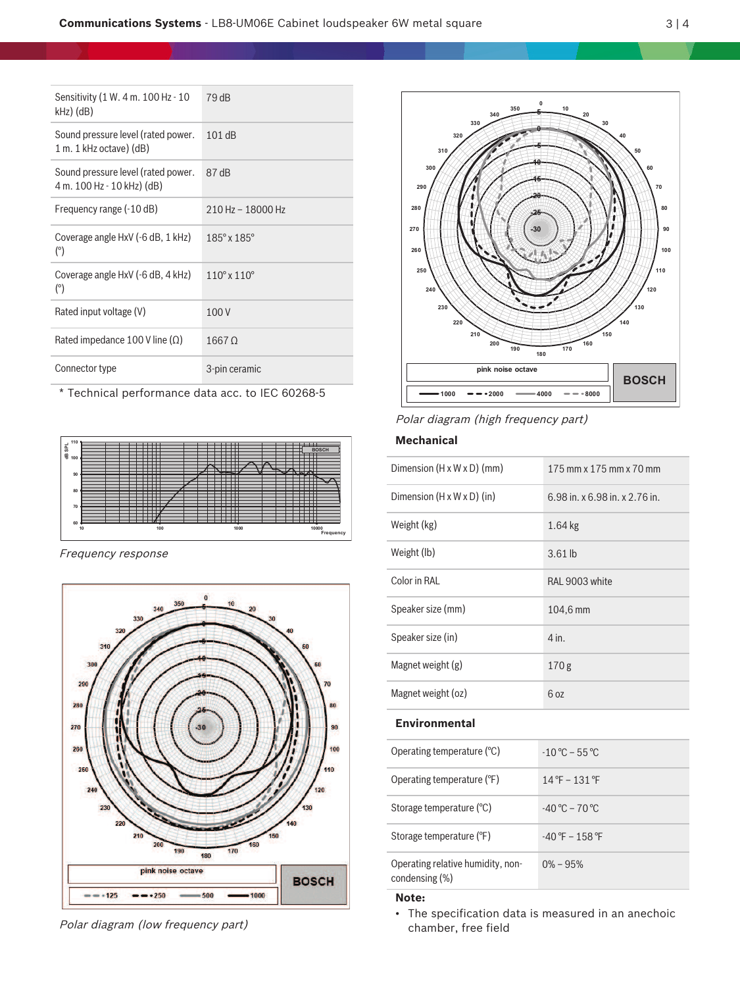| Sensitivity (1 W. 4 m. 100 Hz - 10<br>$kHz)$ (dB)                | 79 dB                         |
|------------------------------------------------------------------|-------------------------------|
| Sound pressure level (rated power.<br>$1 m. 1 kHz octave)$ (dB)  | 101dB                         |
| Sound pressure level (rated power.<br>4 m. 100 Hz - 10 kHz) (dB) | 87 dB                         |
| Frequency range (-10 dB)                                         | 210 Hz - 18000 Hz             |
| Coverage angle HxV (-6 dB, 1 kHz)<br>$(^\circ)$                  | $185^\circ \times 185^\circ$  |
| Coverage angle HxV (-6 dB, 4 kHz)<br>$(^\circ)$                  | $110^{\circ}$ x $110^{\circ}$ |
| Rated input voltage (V)                                          | 100V                          |
| Rated impedance 100 V line $(\Omega)$                            | 1667 Q                        |
| Connector type                                                   | 3-pin ceramic                 |

\* Technical performance data acc. to IEC 60268‑5



Frequency response



Polar diagram (low frequency part)



Polar diagram (high frequency part)

# **Mechanical**

| Dimension $(H \times W \times D)$ (mm) | 175 mm x 175 mm x 70 mm            |
|----------------------------------------|------------------------------------|
| Dimension $(H \times W \times D)$ (in) | 6.98 in. $x$ 6.98 in. $x$ 2.76 in. |
| Weight (kg)                            | $1.64$ kg                          |
| Weight (lb)                            | $3.61$ lb                          |
| Color in RAL                           | RAL 9003 white                     |
| Speaker size (mm)                      | 104,6 mm                           |
| Speaker size (in)                      | 4 in.                              |
| Magnet weight (g)                      | 170 <sub>g</sub>                   |
| Magnet weight (oz)                     | 6 oz                               |
| <b>Environmental</b>                   |                                    |
|                                        |                                    |

| Operating temperature $(°C)$                        | $-10^{\circ}$ C – 55 °C           |
|-----------------------------------------------------|-----------------------------------|
| Operating temperature (°F)                          | $14^{\circ}$ F – 131 $^{\circ}$ F |
| Storage temperature (°C)                            | $-40^{\circ}$ C – 70 °C           |
| Storage temperature (°F)                            | $-40$ °F $-158$ °F                |
| Operating relative humidity, non-<br>condensing (%) | $0\% - 95\%$                      |

## **Note:**

• The specification data is measured in an anechoic chamber, free field